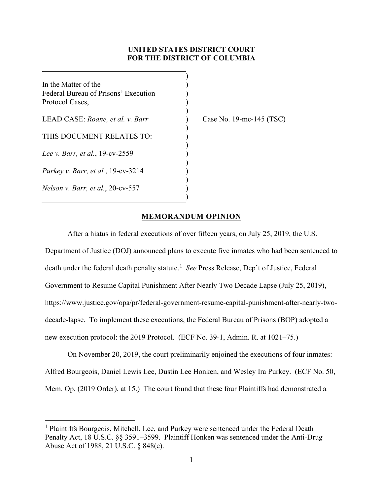# **UNITED STATES DISTRICT COURT FOR THE DISTRICT OF COLUMBIA**

)

)

)

)

) ) )

)

In the Matter of the  $($ Federal Bureau of Prisons' Execution ) Protocol Cases, )

LEAD CASE: *Roane, et al. v. Barr* ) Case No. 19-mc-145 (TSC)

THIS DOCUMENT RELATES TO:

*Lee v. Barr, et al., 19-cv-2559* 

*Purkey v. Barr, et al.*, 19-cv-3214

*Nelson v. Barr, et al.*, 20-cv-557 )

## **MEMORANDUM OPINION**

After a hiatus in federal executions of over fifteen years, on July 25, 2019, the U.S. Department of Justice (DOJ) announced plans to execute five inmates who had been sentenced to death under the federal death penalty statute.<sup>[1](#page-0-0)</sup> *See* Press Release, Dep't of Justice, Federal Government to Resume Capital Punishment After Nearly Two Decade Lapse (July 25, 2019), https://www.justice.gov/opa/pr/federal-government-resume-capital-punishment-after-nearly-twodecade-lapse. To implement these executions, the Federal Bureau of Prisons (BOP) adopted a new execution protocol: the 2019 Protocol. (ECF No. 39-1, Admin. R. at 1021–75.)

On November 20, 2019, the court preliminarily enjoined the executions of four inmates: Alfred Bourgeois, Daniel Lewis Lee, Dustin Lee Honken, and Wesley Ira Purkey. (ECF No. 50, Mem. Op. (2019 Order), at 15.) The court found that these four Plaintiffs had demonstrated a

<span id="page-0-0"></span><sup>&</sup>lt;sup>1</sup> Plaintiffs Bourgeois, Mitchell, Lee, and Purkey were sentenced under the Federal Death Penalty Act, 18 U.S.C. §§ 3591–3599. Plaintiff Honken was sentenced under the Anti-Drug Abuse Act of 1988, 21 U.S.C. § 848(e).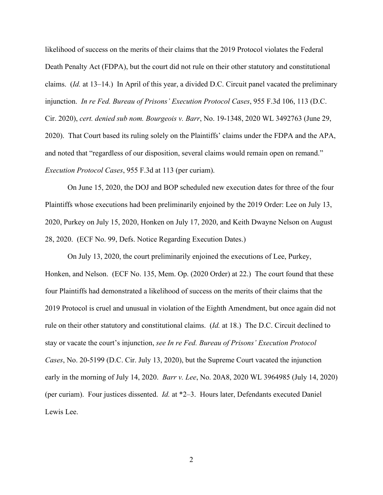likelihood of success on the merits of their claims that the 2019 Protocol violates the Federal Death Penalty Act (FDPA), but the court did not rule on their other statutory and constitutional claims. (*Id.* at 13–14.) In April of this year, a divided D.C. Circuit panel vacated the preliminary injunction. *In re Fed. Bureau of Prisons' Execution Protocol Cases*, 955 F.3d 106, 113 (D.C. Cir. 2020), *cert. denied sub nom. Bourgeois v. Barr*, No. 19-1348, 2020 WL 3492763 (June 29, 2020). That Court based its ruling solely on the Plaintiffs' claims under the FDPA and the APA, and noted that "regardless of our disposition, several claims would remain open on remand." *Execution Protocol Cases*, 955 F.3d at 113 (per curiam).

On June 15, 2020, the DOJ and BOP scheduled new execution dates for three of the four Plaintiffs whose executions had been preliminarily enjoined by the 2019 Order: Lee on July 13, 2020, Purkey on July 15, 2020, Honken on July 17, 2020, and Keith Dwayne Nelson on August 28, 2020. (ECF No. 99, Defs. Notice Regarding Execution Dates.)

On July 13, 2020, the court preliminarily enjoined the executions of Lee, Purkey, Honken, and Nelson. (ECF No. 135, Mem. Op. (2020 Order) at 22.) The court found that these four Plaintiffs had demonstrated a likelihood of success on the merits of their claims that the 2019 Protocol is cruel and unusual in violation of the Eighth Amendment, but once again did not rule on their other statutory and constitutional claims. (*Id.* at 18.) The D.C. Circuit declined to stay or vacate the court's injunction, *see In re Fed. Bureau of Prisons' Execution Protocol Cases*, No. 20-5199 (D.C. Cir. July 13, 2020), but the Supreme Court vacated the injunction early in the morning of July 14, 2020. *Barr v. Lee*, No. 20A8, 2020 WL 3964985 (July 14, 2020) (per curiam). Four justices dissented. *Id.* at \*2–3. Hours later, Defendants executed Daniel Lewis Lee.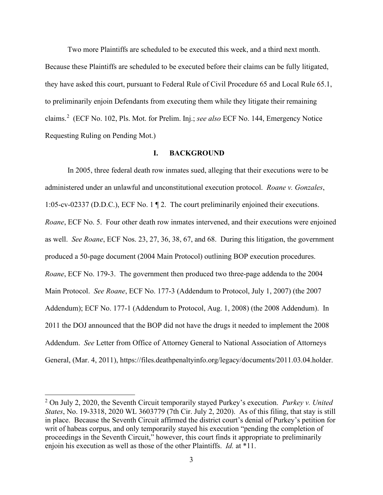Two more Plaintiffs are scheduled to be executed this week, and a third next month. Because these Plaintiffs are scheduled to be executed before their claims can be fully litigated, they have asked this court, pursuant to Federal Rule of Civil Procedure 65 and Local Rule 65.1, to preliminarily enjoin Defendants from executing them while they litigate their remaining claims. [2](#page-2-0) (ECF No. 102, Pls. Mot. for Prelim. Inj.; *see also* ECF No. 144, Emergency Notice Requesting Ruling on Pending Mot.)

### **I. BACKGROUND**

In 2005, three federal death row inmates sued, alleging that their executions were to be administered under an unlawful and unconstitutional execution protocol. *Roane v. Gonzales*, 1:05-cv-02337 (D.D.C.), ECF No. 1 ¶ 2. The court preliminarily enjoined their executions. *Roane*, ECF No. 5. Four other death row inmates intervened, and their executions were enjoined as well. *See Roane*, ECF Nos. 23, 27, 36, 38, 67, and 68. During this litigation, the government produced a 50-page document (2004 Main Protocol) outlining BOP execution procedures. *Roane*, ECF No. 179-3. The government then produced two three-page addenda to the 2004 Main Protocol. *See Roane*, ECF No. 177-3 (Addendum to Protocol, July 1, 2007) (the 2007 Addendum); ECF No. 177-1 (Addendum to Protocol, Aug. 1, 2008) (the 2008 Addendum). In 2011 the DOJ announced that the BOP did not have the drugs it needed to implement the 2008 Addendum. *See* Letter from Office of Attorney General to National Association of Attorneys General, (Mar. 4, 2011), https://files.deathpenaltyinfo.org/legacy/documents/2011.03.04.holder.

<span id="page-2-0"></span><sup>2</sup> On July 2, 2020, the Seventh Circuit temporarily stayed Purkey's execution. *Purkey v. United States*, No. 19-3318, 2020 WL 3603779 (7th Cir. July 2, 2020). As of this filing, that stay is still in place. Because the Seventh Circuit affirmed the district court's denial of Purkey's petition for writ of habeas corpus, and only temporarily stayed his execution "pending the completion of proceedings in the Seventh Circuit," however, this court finds it appropriate to preliminarily enjoin his execution as well as those of the other Plaintiffs. *Id.* at \*11.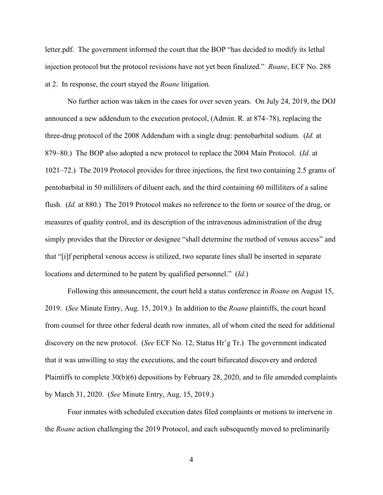letter.pdf. The government informed the court that the BOP "has decided to modify its lethal injection protocol but the protocol revisions have not yet been finalized." *Roane*, ECF No. 288 at 2. In response, the court stayed the *Roane* litigation.

No further action was taken in the cases for over seven years. On July 24, 2019, the DOJ announced a new addendum to the execution protocol, (Admin. R. at 874–78), replacing the three-drug protocol of the 2008 Addendum with a single drug: pentobarbital sodium. (*Id.* at 879–80.) The BOP also adopted a new protocol to replace the 2004 Main Protocol. (*Id.* at 1021–72.) The 2019 Protocol provides for three injections, the first two containing 2.5 grams of pentobarbital in 50 milliliters of diluent each, and the third containing 60 milliliters of a saline flush. (*Id.* at 880.) The 2019 Protocol makes no reference to the form or source of the drug, or measures of quality control, and its description of the intravenous administration of the drug simply provides that the Director or designee "shall determine the method of venous access" and that "[i]f peripheral venous access is utilized, two separate lines shall be inserted in separate locations and determined to be patent by qualified personnel." (*Id.*)

Following this announcement, the court held a status conference in *Roane* on August 15, 2019. (*See* Minute Entry, Aug. 15, 2019.) In addition to the *Roane* plaintiffs, the court heard from counsel for three other federal death row inmates, all of whom cited the need for additional discovery on the new protocol. (*See* ECF No. 12, Status Hr'g Tr.) The government indicated that it was unwilling to stay the executions, and the court bifurcated discovery and ordered Plaintiffs to complete 30(b)(6) depositions by February 28, 2020, and to file amended complaints by March 31, 2020. (*See* Minute Entry, Aug. 15, 2019.)

Four inmates with scheduled execution dates filed complaints or motions to intervene in the *Roane* action challenging the 2019 Protocol, and each subsequently moved to preliminarily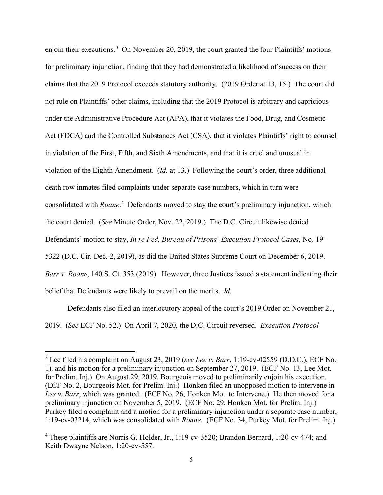enjoin their executions.<sup>[3](#page-4-0)</sup> On November 20, 2019, the court granted the four Plaintiffs' motions for preliminary injunction, finding that they had demonstrated a likelihood of success on their claims that the 2019 Protocol exceeds statutory authority. (2019 Order at 13, 15.) The court did not rule on Plaintiffs' other claims, including that the 2019 Protocol is arbitrary and capricious under the Administrative Procedure Act (APA), that it violates the Food, Drug, and Cosmetic Act (FDCA) and the Controlled Substances Act (CSA), that it violates Plaintiffs' right to counsel in violation of the First, Fifth, and Sixth Amendments, and that it is cruel and unusual in violation of the Eighth Amendment. (*Id.* at 13.) Following the court's order, three additional death row inmates filed complaints under separate case numbers, which in turn were consolidated with *Roane*. [4](#page-4-1) Defendants moved to stay the court's preliminary injunction, which the court denied. (*See* Minute Order, Nov. 22, 2019.) The D.C. Circuit likewise denied Defendants' motion to stay, *In re Fed. Bureau of Prisons' Execution Protocol Cases*, No. 19- 5322 (D.C. Cir. Dec. 2, 2019), as did the United States Supreme Court on December 6, 2019. *Barr v. Roane*, 140 S. Ct. 353 (2019). However, three Justices issued a statement indicating their belief that Defendants were likely to prevail on the merits. *Id.*

Defendants also filed an interlocutory appeal of the court's 2019 Order on November 21, 2019. (*See* ECF No. 52.) On April 7, 2020, the D.C. Circuit reversed. *Execution Protocol* 

<span id="page-4-0"></span><sup>3</sup> Lee filed his complaint on August 23, 2019 (*see Lee v. Barr*, 1:19-cv-02559 (D.D.C.), ECF No. 1), and his motion for a preliminary injunction on September 27, 2019. (ECF No. 13, Lee Mot. for Prelim. Inj.) On August 29, 2019, Bourgeois moved to preliminarily enjoin his execution. (ECF No. 2, Bourgeois Mot. for Prelim. Inj.) Honken filed an unopposed motion to intervene in *Lee v. Barr*, which was granted. (ECF No. 26, Honken Mot. to Intervene.) He then moved for a preliminary injunction on November 5, 2019. (ECF No. 29, Honken Mot. for Prelim. Inj.) Purkey filed a complaint and a motion for a preliminary injunction under a separate case number, 1:19-cv-03214, which was consolidated with *Roane*. (ECF No. 34, Purkey Mot. for Prelim. Inj.)

<span id="page-4-1"></span><sup>4</sup> These plaintiffs are Norris G. Holder, Jr., 1:19-cv-3520; Brandon Bernard, 1:20-cv-474; and Keith Dwayne Nelson, 1:20-cv-557.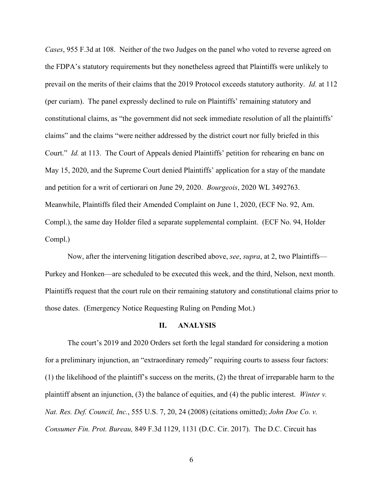*Cases*, 955 F.3d at 108. Neither of the two Judges on the panel who voted to reverse agreed on the FDPA's statutory requirements but they nonetheless agreed that Plaintiffs were unlikely to prevail on the merits of their claims that the 2019 Protocol exceeds statutory authority. *Id.* at 112 (per curiam). The panel expressly declined to rule on Plaintiffs' remaining statutory and constitutional claims, as "the government did not seek immediate resolution of all the plaintiffs' claims" and the claims "were neither addressed by the district court nor fully briefed in this Court." *Id.* at 113. The Court of Appeals denied Plaintiffs' petition for rehearing en banc on May 15, 2020, and the Supreme Court denied Plaintiffs' application for a stay of the mandate and petition for a writ of certiorari on June 29, 2020. *Bourgeois*, 2020 WL 3492763. Meanwhile, Plaintiffs filed their Amended Complaint on June 1, 2020, (ECF No. 92, Am. Compl.), the same day Holder filed a separate supplemental complaint. (ECF No. 94, Holder Compl.)

Now, after the intervening litigation described above, *see*, *supra*, at 2, two Plaintiffs— Purkey and Honken—are scheduled to be executed this week, and the third, Nelson, next month. Plaintiffs request that the court rule on their remaining statutory and constitutional claims prior to those dates. (Emergency Notice Requesting Ruling on Pending Mot.)

### **II. ANALYSIS**

The court's 2019 and 2020 Orders set forth the legal standard for considering a motion for a preliminary injunction, an "extraordinary remedy" requiring courts to assess four factors: (1) the likelihood of the plaintiff's success on the merits, (2) the threat of irreparable harm to the plaintiff absent an injunction, (3) the balance of equities, and (4) the public interest. *Winter v. Nat. Res. Def. Council, Inc.*, 555 U.S. 7, 20, 24 (2008) (citations omitted); *John Doe Co. v. Consumer Fin. Prot. Bureau,* 849 F.3d 1129, 1131 (D.C. Cir. 2017). The D.C. Circuit has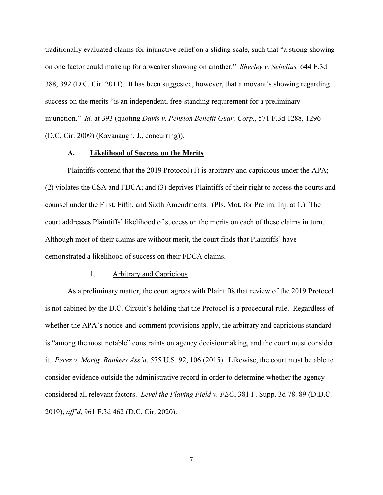traditionally evaluated claims for injunctive relief on a sliding scale, such that "a strong showing on one factor could make up for a weaker showing on another." *Sherley v. Sebelius,* 644 F.3d 388, 392 (D.C. Cir. 2011). It has been suggested, however, that a movant's showing regarding success on the merits "is an independent, free-standing requirement for a preliminary injunction." *Id.* at 393 (quoting *Davis v. Pension Benefit Guar. Corp.*, 571 F.3d 1288, 1296 (D.C. Cir. 2009) (Kavanaugh, J., concurring)).

### **A. Likelihood of Success on the Merits**

Plaintiffs contend that the 2019 Protocol (1) is arbitrary and capricious under the APA; (2) violates the CSA and FDCA; and (3) deprives Plaintiffs of their right to access the courts and counsel under the First, Fifth, and Sixth Amendments. (Pls. Mot. for Prelim. Inj. at 1.) The court addresses Plaintiffs' likelihood of success on the merits on each of these claims in turn. Although most of their claims are without merit, the court finds that Plaintiffs' have demonstrated a likelihood of success on their FDCA claims.

#### 1. Arbitrary and Capricious

As a preliminary matter, the court agrees with Plaintiffs that review of the 2019 Protocol is not cabined by the D.C. Circuit's holding that the Protocol is a procedural rule. Regardless of whether the APA's notice-and-comment provisions apply, the arbitrary and capricious standard is "among the most notable" constraints on agency decisionmaking, and the court must consider it. *Perez v. Mortg. Bankers Ass'n*, 575 U.S. 92, 106 (2015). Likewise, the court must be able to consider evidence outside the administrative record in order to determine whether the agency considered all relevant factors. *Level the Playing Field v. FEC*, 381 F. Supp. 3d 78, 89 (D.D.C. 2019), *aff'd*, 961 F.3d 462 (D.C. Cir. 2020).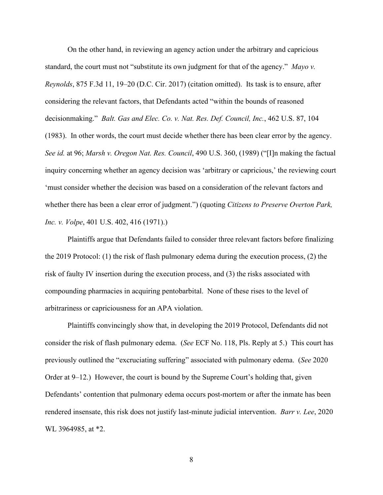On the other hand, in reviewing an agency action under the arbitrary and capricious standard, the court must not "substitute its own judgment for that of the agency." *Mayo v. Reynolds*, 875 F.3d 11, 19–20 (D.C. Cir. 2017) (citation omitted). Its task is to ensure, after considering the relevant factors, that Defendants acted "within the bounds of reasoned decisionmaking." *Balt. Gas and Elec. Co. v. Nat. Res. Def. Council, Inc.*, 462 U.S. 87, 104 (1983). In other words, the court must decide whether there has been clear error by the agency. *See id.* at 96; *Marsh v. Oregon Nat. Res. Council*, 490 U.S. 360, (1989) ("[I]n making the factual inquiry concerning whether an agency decision was 'arbitrary or capricious,' the reviewing court 'must consider whether the decision was based on a consideration of the relevant factors and whether there has been a clear error of judgment.") (quoting *Citizens to Preserve Overton Park, Inc. v. Volpe*, 401 U.S. 402, 416 (1971).)

Plaintiffs argue that Defendants failed to consider three relevant factors before finalizing the 2019 Protocol: (1) the risk of flash pulmonary edema during the execution process, (2) the risk of faulty IV insertion during the execution process, and (3) the risks associated with compounding pharmacies in acquiring pentobarbital. None of these rises to the level of arbitrariness or capriciousness for an APA violation.

Plaintiffs convincingly show that, in developing the 2019 Protocol, Defendants did not consider the risk of flash pulmonary edema. (*See* ECF No. 118, Pls. Reply at 5.) This court has previously outlined the "excruciating suffering" associated with pulmonary edema. (*See* 2020 Order at 9–12.) However, the court is bound by the Supreme Court's holding that, given Defendants' contention that pulmonary edema occurs post-mortem or after the inmate has been rendered insensate, this risk does not justify last-minute judicial intervention. *Barr v. Lee*, 2020 WL 3964985, at \*2.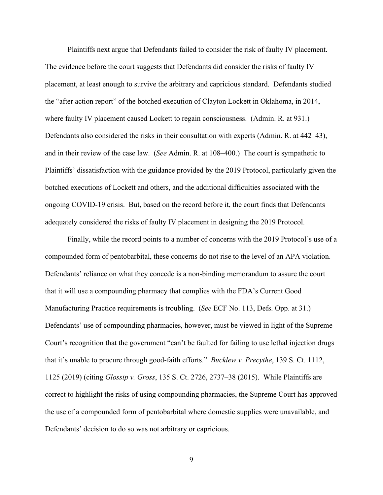Plaintiffs next argue that Defendants failed to consider the risk of faulty IV placement. The evidence before the court suggests that Defendants did consider the risks of faulty IV placement, at least enough to survive the arbitrary and capricious standard. Defendants studied the "after action report" of the botched execution of Clayton Lockett in Oklahoma, in 2014, where faulty IV placement caused Lockett to regain consciousness. (Admin. R. at 931.) Defendants also considered the risks in their consultation with experts (Admin. R. at 442–43), and in their review of the case law. (*See* Admin. R. at 108–400.) The court is sympathetic to Plaintiffs' dissatisfaction with the guidance provided by the 2019 Protocol, particularly given the botched executions of Lockett and others, and the additional difficulties associated with the ongoing COVID-19 crisis. But, based on the record before it, the court finds that Defendants adequately considered the risks of faulty IV placement in designing the 2019 Protocol.

Finally, while the record points to a number of concerns with the 2019 Protocol's use of a compounded form of pentobarbital, these concerns do not rise to the level of an APA violation. Defendants' reliance on what they concede is a non-binding memorandum to assure the court that it will use a compounding pharmacy that complies with the FDA's Current Good Manufacturing Practice requirements is troubling. (*See* ECF No. 113, Defs. Opp. at 31.) Defendants' use of compounding pharmacies, however, must be viewed in light of the Supreme Court's recognition that the government "can't be faulted for failing to use lethal injection drugs that it's unable to procure through good-faith efforts." *Bucklew v. Precythe*, 139 S. Ct. 1112, 1125 (2019) (citing *Glossip v. Gross*, 135 S. Ct. 2726, 2737–38 (2015). While Plaintiffs are correct to highlight the risks of using compounding pharmacies, the Supreme Court has approved the use of a compounded form of pentobarbital where domestic supplies were unavailable, and Defendants' decision to do so was not arbitrary or capricious.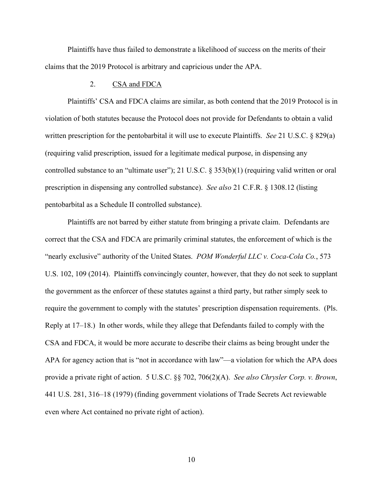Plaintiffs have thus failed to demonstrate a likelihood of success on the merits of their claims that the 2019 Protocol is arbitrary and capricious under the APA.

## 2. CSA and FDCA

Plaintiffs' CSA and FDCA claims are similar, as both contend that the 2019 Protocol is in violation of both statutes because the Protocol does not provide for Defendants to obtain a valid written prescription for the pentobarbital it will use to execute Plaintiffs. *See* 21 U.S.C. § 829(a) (requiring valid prescription, issued for a legitimate medical purpose, in dispensing any controlled substance to an "ultimate user"); 21 U.S.C. § 353(b)(1) (requiring valid written or oral prescription in dispensing any controlled substance). *See also* 21 C.F.R. § 1308.12 (listing pentobarbital as a Schedule II controlled substance).

Plaintiffs are not barred by either statute from bringing a private claim. Defendants are correct that the CSA and FDCA are primarily criminal statutes, the enforcement of which is the "nearly exclusive" authority of the United States. *POM Wonderful LLC v. Coca-Cola Co.*, 573 U.S. 102, 109 (2014). Plaintiffs convincingly counter, however, that they do not seek to supplant the government as the enforcer of these statutes against a third party, but rather simply seek to require the government to comply with the statutes' prescription dispensation requirements. (Pls. Reply at 17–18.) In other words, while they allege that Defendants failed to comply with the CSA and FDCA, it would be more accurate to describe their claims as being brought under the APA for agency action that is "not in accordance with law"—a violation for which the APA does provide a private right of action. 5 U.S.C. §§ 702, 706(2)(A). *See also Chrysler Corp. v. Brown*, 441 U.S. 281, 316–18 (1979) (finding government violations of Trade Secrets Act reviewable even where Act contained no private right of action).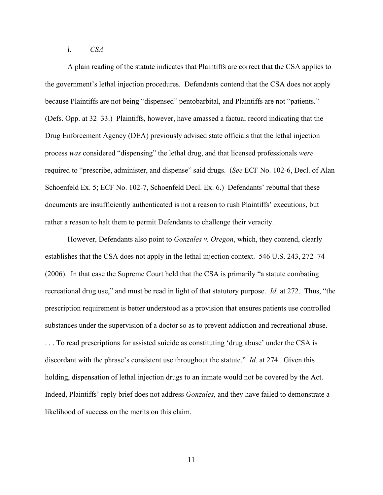i. *CSA*

A plain reading of the statute indicates that Plaintiffs are correct that the CSA applies to the government's lethal injection procedures. Defendants contend that the CSA does not apply because Plaintiffs are not being "dispensed" pentobarbital, and Plaintiffs are not "patients." (Defs. Opp. at 32–33.) Plaintiffs, however, have amassed a factual record indicating that the Drug Enforcement Agency (DEA) previously advised state officials that the lethal injection process *was* considered "dispensing" the lethal drug, and that licensed professionals *were* required to "prescribe, administer, and dispense" said drugs. (*See* ECF No. 102-6, Decl. of Alan Schoenfeld Ex. 5; ECF No. 102-7, Schoenfeld Decl. Ex. 6.) Defendants' rebuttal that these documents are insufficiently authenticated is not a reason to rush Plaintiffs' executions, but rather a reason to halt them to permit Defendants to challenge their veracity.

However, Defendants also point to *Gonzales v. Oregon*, which, they contend, clearly establishes that the CSA does not apply in the lethal injection context. 546 U.S. 243, 272–74 (2006). In that case the Supreme Court held that the CSA is primarily "a statute combating recreational drug use," and must be read in light of that statutory purpose. *Id.* at 272. Thus, "the prescription requirement is better understood as a provision that ensures patients use controlled substances under the supervision of a doctor so as to prevent addiction and recreational abuse. . . . To read prescriptions for assisted suicide as constituting 'drug abuse' under the CSA is discordant with the phrase's consistent use throughout the statute." *Id.* at 274. Given this holding, dispensation of lethal injection drugs to an inmate would not be covered by the Act. Indeed, Plaintiffs' reply brief does not address *Gonzales*, and they have failed to demonstrate a likelihood of success on the merits on this claim.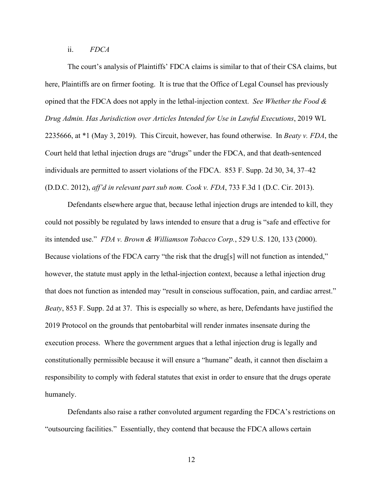ii. *FDCA*

The court's analysis of Plaintiffs' FDCA claims is similar to that of their CSA claims, but here, Plaintiffs are on firmer footing. It is true that the Office of Legal Counsel has previously opined that the FDCA does not apply in the lethal-injection context. *See Whether the Food & Drug Admin. Has Jurisdiction over Articles Intended for Use in Lawful Executions*, 2019 WL 2235666, at \*1 (May 3, 2019). This Circuit, however, has found otherwise. In *Beaty v. FDA*, the Court held that lethal injection drugs are "drugs" under the FDCA, and that death-sentenced individuals are permitted to assert violations of the FDCA. 853 F. Supp. 2d 30, 34, 37–42 (D.D.C. 2012), *aff'd in relevant part sub nom. Cook v. FDA*, 733 F.3d 1 (D.C. Cir. 2013).

Defendants elsewhere argue that, because lethal injection drugs are intended to kill, they could not possibly be regulated by laws intended to ensure that a drug is "safe and effective for its intended use." *FDA v. Brown & Williamson Tobacco Corp.*, 529 U.S. 120, 133 (2000). Because violations of the FDCA carry "the risk that the drug[s] will not function as intended," however, the statute must apply in the lethal-injection context, because a lethal injection drug that does not function as intended may "result in conscious suffocation, pain, and cardiac arrest." *Beaty*, 853 F. Supp. 2d at 37. This is especially so where, as here, Defendants have justified the 2019 Protocol on the grounds that pentobarbital will render inmates insensate during the execution process. Where the government argues that a lethal injection drug is legally and constitutionally permissible because it will ensure a "humane" death, it cannot then disclaim a responsibility to comply with federal statutes that exist in order to ensure that the drugs operate humanely.

Defendants also raise a rather convoluted argument regarding the FDCA's restrictions on "outsourcing facilities." Essentially, they contend that because the FDCA allows certain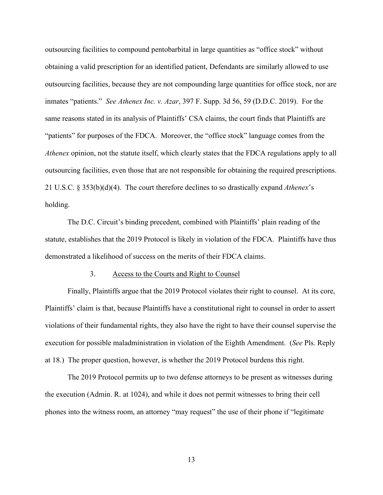outsourcing facilities to compound pentobarbital in large quantities as "office stock" without obtaining a valid prescription for an identified patient, Defendants are similarly allowed to use outsourcing facilities, because they are not compounding large quantities for office stock, nor are inmates "patients." *See Athenex Inc. v. Azar*, 397 F. Supp. 3d 56, 59 (D.D.C. 2019). For the same reasons stated in its analysis of Plaintiffs' CSA claims, the court finds that Plaintiffs are "patients" for purposes of the FDCA. Moreover, the "office stock" language comes from the *Athenex* opinion, not the statute itself, which clearly states that the FDCA regulations apply to all outsourcing facilities, even those that are not responsible for obtaining the required prescriptions. 21 U.S.C. § 353(b)(d)(4). The court therefore declines to so drastically expand *Athenex*'s holding.

The D.C. Circuit's binding precedent, combined with Plaintiffs' plain reading of the statute, establishes that the 2019 Protocol is likely in violation of the FDCA. Plaintiffs have thus demonstrated a likelihood of success on the merits of their FDCA claims.

### 3. Access to the Courts and Right to Counsel

Finally, Plaintiffs argue that the 2019 Protocol violates their right to counsel. At its core, Plaintiffs' claim is that, because Plaintiffs have a constitutional right to counsel in order to assert violations of their fundamental rights, they also have the right to have their counsel supervise the execution for possible maladministration in violation of the Eighth Amendment. (*See* Pls. Reply at 18.) The proper question, however, is whether the 2019 Protocol burdens this right.

The 2019 Protocol permits up to two defense attorneys to be present as witnesses during the execution (Admin. R. at 1024), and while it does not permit witnesses to bring their cell phones into the witness room, an attorney "may request" the use of their phone if "legitimate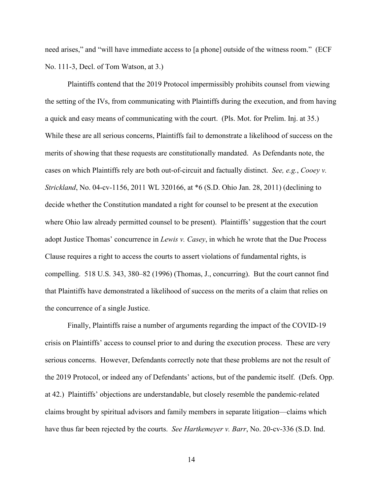need arises," and "will have immediate access to [a phone] outside of the witness room." (ECF No. 111-3, Decl. of Tom Watson, at 3.)

Plaintiffs contend that the 2019 Protocol impermissibly prohibits counsel from viewing the setting of the IVs, from communicating with Plaintiffs during the execution, and from having a quick and easy means of communicating with the court. (Pls. Mot. for Prelim. Inj. at 35.) While these are all serious concerns, Plaintiffs fail to demonstrate a likelihood of success on the merits of showing that these requests are constitutionally mandated. As Defendants note, the cases on which Plaintiffs rely are both out-of-circuit and factually distinct. *See, e.g.*, *Cooey v. Strickland*, No. 04-cv-1156, 2011 WL 320166, at \*6 (S.D. Ohio Jan. 28, 2011) (declining to decide whether the Constitution mandated a right for counsel to be present at the execution where Ohio law already permitted counsel to be present). Plaintiffs' suggestion that the court adopt Justice Thomas' concurrence in *Lewis v. Casey*, in which he wrote that the Due Process Clause requires a right to access the courts to assert violations of fundamental rights, is compelling. 518 U.S. 343, 380–82 (1996) (Thomas, J., concurring). But the court cannot find that Plaintiffs have demonstrated a likelihood of success on the merits of a claim that relies on the concurrence of a single Justice.

Finally, Plaintiffs raise a number of arguments regarding the impact of the COVID-19 crisis on Plaintiffs' access to counsel prior to and during the execution process. These are very serious concerns. However, Defendants correctly note that these problems are not the result of the 2019 Protocol, or indeed any of Defendants' actions, but of the pandemic itself. (Defs. Opp. at 42.) Plaintiffs' objections are understandable, but closely resemble the pandemic-related claims brought by spiritual advisors and family members in separate litigation—claims which have thus far been rejected by the courts. *See Hartkemeyer v. Barr*, No. 20-cv-336 (S.D. Ind.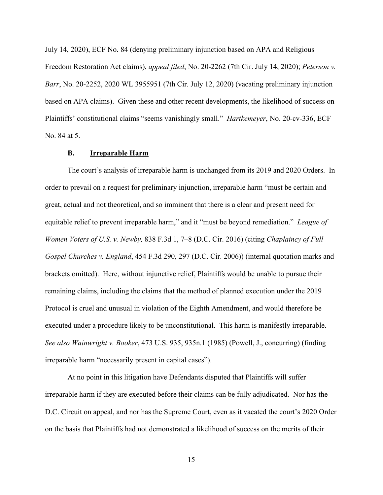July 14, 2020), ECF No. 84 (denying preliminary injunction based on APA and Religious Freedom Restoration Act claims), *appeal filed*, No. 20-2262 (7th Cir. July 14, 2020); *Peterson v. Barr*, No. 20-2252, 2020 WL 3955951 (7th Cir. July 12, 2020) (vacating preliminary injunction based on APA claims). Given these and other recent developments, the likelihood of success on Plaintiffs' constitutional claims "seems vanishingly small." *Hartkemeyer*, No. 20-cv-336, ECF No. 84 at 5.

## **B. Irreparable Harm**

The court's analysis of irreparable harm is unchanged from its 2019 and 2020 Orders. In order to prevail on a request for preliminary injunction, irreparable harm "must be certain and great, actual and not theoretical, and so imminent that there is a clear and present need for equitable relief to prevent irreparable harm," and it "must be beyond remediation." *League of Women Voters of U.S. v. Newby,* 838 F.3d 1, 7–8 (D.C. Cir. 2016) (citing *Chaplaincy of Full Gospel Churches v. England*, 454 F.3d 290, 297 (D.C. Cir. 2006)) (internal quotation marks and brackets omitted). Here, without injunctive relief, Plaintiffs would be unable to pursue their remaining claims, including the claims that the method of planned execution under the 2019 Protocol is cruel and unusual in violation of the Eighth Amendment, and would therefore be executed under a procedure likely to be unconstitutional. This harm is manifestly irreparable. *See also Wainwright v. Booker*, 473 U.S. 935, 935n.1 (1985) (Powell, J., concurring) (finding irreparable harm "necessarily present in capital cases").

At no point in this litigation have Defendants disputed that Plaintiffs will suffer irreparable harm if they are executed before their claims can be fully adjudicated. Nor has the D.C. Circuit on appeal, and nor has the Supreme Court, even as it vacated the court's 2020 Order on the basis that Plaintiffs had not demonstrated a likelihood of success on the merits of their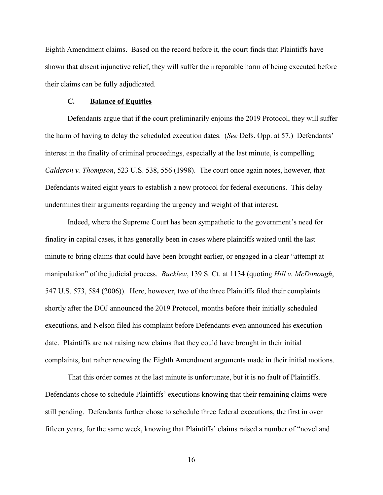Eighth Amendment claims. Based on the record before it, the court finds that Plaintiffs have shown that absent injunctive relief, they will suffer the irreparable harm of being executed before their claims can be fully adjudicated.

### **C. Balance of Equities**

Defendants argue that if the court preliminarily enjoins the 2019 Protocol, they will suffer the harm of having to delay the scheduled execution dates. (*See* Defs. Opp. at 57.) Defendants' interest in the finality of criminal proceedings, especially at the last minute, is compelling. *Calderon v. Thompson*, 523 U.S. 538, 556 (1998).The court once again notes, however, that Defendants waited eight years to establish a new protocol for federal executions. This delay undermines their arguments regarding the urgency and weight of that interest.

Indeed, where the Supreme Court has been sympathetic to the government's need for finality in capital cases, it has generally been in cases where plaintiffs waited until the last minute to bring claims that could have been brought earlier, or engaged in a clear "attempt at manipulation" of the judicial process. *Bucklew*, 139 S. Ct. at 1134 (quoting *Hill v. McDonough*, 547 U.S. 573, 584 (2006)). Here, however, two of the three Plaintiffs filed their complaints shortly after the DOJ announced the 2019 Protocol, months before their initially scheduled executions, and Nelson filed his complaint before Defendants even announced his execution date. Plaintiffs are not raising new claims that they could have brought in their initial complaints, but rather renewing the Eighth Amendment arguments made in their initial motions.

That this order comes at the last minute is unfortunate, but it is no fault of Plaintiffs. Defendants chose to schedule Plaintiffs' executions knowing that their remaining claims were still pending. Defendants further chose to schedule three federal executions, the first in over fifteen years, for the same week, knowing that Plaintiffs' claims raised a number of "novel and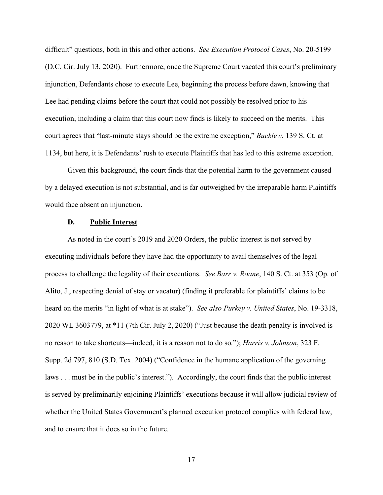difficult" questions, both in this and other actions. *See Execution Protocol Cases*, No. 20-5199 (D.C. Cir. July 13, 2020). Furthermore, once the Supreme Court vacated this court's preliminary injunction, Defendants chose to execute Lee, beginning the process before dawn, knowing that Lee had pending claims before the court that could not possibly be resolved prior to his execution, including a claim that this court now finds is likely to succeed on the merits. This court agrees that "last-minute stays should be the extreme exception," *Bucklew*, 139 S. Ct. at 1134, but here, it is Defendants' rush to execute Plaintiffs that has led to this extreme exception.

Given this background, the court finds that the potential harm to the government caused by a delayed execution is not substantial, and is far outweighed by the irreparable harm Plaintiffs would face absent an injunction.

### **D. Public Interest**

As noted in the court's 2019 and 2020 Orders, the public interest is not served by executing individuals before they have had the opportunity to avail themselves of the legal process to challenge the legality of their executions. *See Barr v. Roane*, 140 S. Ct. at 353 (Op. of Alito, J., respecting denial of stay or vacatur) (finding it preferable for plaintiffs' claims to be heard on the merits "in light of what is at stake"). *See also Purkey v. United States*, No. 19-3318, 2020 WL 3603779, at \*11 (7th Cir. July 2, 2020) ("Just because the death penalty is involved is no reason to take shortcuts—indeed, it is a reason not to do so*.*"); *Harris v. Johnson*, 323 F. Supp. 2d 797, 810 (S.D. Tex. 2004) ("Confidence in the humane application of the governing laws . . . must be in the public's interest."). Accordingly, the court finds that the public interest is served by preliminarily enjoining Plaintiffs' executions because it will allow judicial review of whether the United States Government's planned execution protocol complies with federal law, and to ensure that it does so in the future.